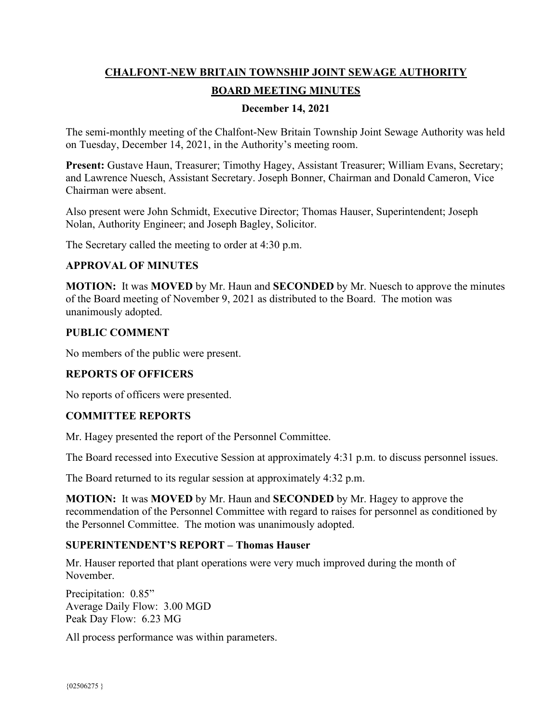# **CHALFONT-NEW BRITAIN TOWNSHIP JOINT SEWAGE AUTHORITY BOARD MEETING MINUTES**

### **December 14, 2021**

The semi-monthly meeting of the Chalfont-New Britain Township Joint Sewage Authority was held on Tuesday, December 14, 2021, in the Authority's meeting room.

Present: Gustave Haun, Treasurer; Timothy Hagey, Assistant Treasurer; William Evans, Secretary; and Lawrence Nuesch, Assistant Secretary. Joseph Bonner, Chairman and Donald Cameron, Vice Chairman were absent.

Also present were John Schmidt, Executive Director; Thomas Hauser, Superintendent; Joseph Nolan, Authority Engineer; and Joseph Bagley, Solicitor.

The Secretary called the meeting to order at 4:30 p.m.

### **APPROVAL OF MINUTES**

**MOTION:** It was **MOVED** by Mr. Haun and **SECONDED** by Mr. Nuesch to approve the minutes of the Board meeting of November 9, 2021 as distributed to the Board. The motion was unanimously adopted.

#### **PUBLIC COMMENT**

No members of the public were present.

#### **REPORTS OF OFFICERS**

No reports of officers were presented.

# **COMMITTEE REPORTS**

Mr. Hagey presented the report of the Personnel Committee.

The Board recessed into Executive Session at approximately 4:31 p.m. to discuss personnel issues.

The Board returned to its regular session at approximately 4:32 p.m.

**MOTION:** It was **MOVED** by Mr. Haun and **SECONDED** by Mr. Hagey to approve the recommendation of the Personnel Committee with regard to raises for personnel as conditioned by the Personnel Committee. The motion was unanimously adopted.

#### **SUPERINTENDENT'S REPORT – Thomas Hauser**

Mr. Hauser reported that plant operations were very much improved during the month of November.

Precipitation: 0.85" Average Daily Flow: 3.00 MGD Peak Day Flow: 6.23 MG

All process performance was within parameters.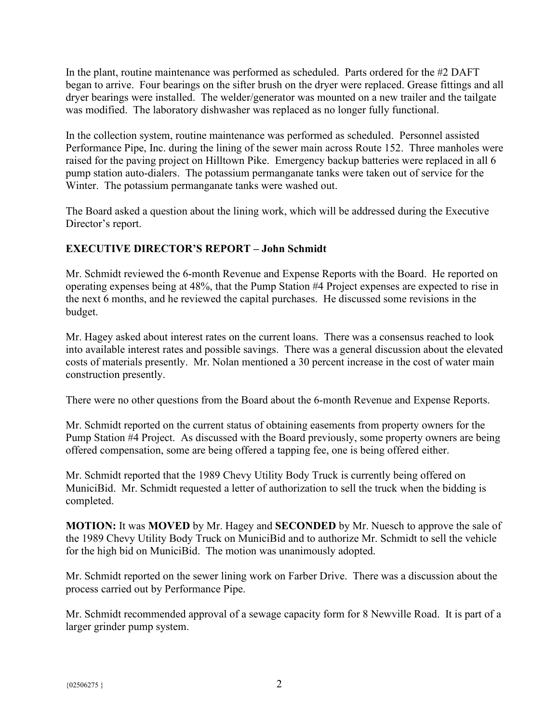In the plant, routine maintenance was performed as scheduled. Parts ordered for the #2 DAFT began to arrive. Four bearings on the sifter brush on the dryer were replaced. Grease fittings and all dryer bearings were installed. The welder/generator was mounted on a new trailer and the tailgate was modified. The laboratory dishwasher was replaced as no longer fully functional.

In the collection system, routine maintenance was performed as scheduled. Personnel assisted Performance Pipe, Inc. during the lining of the sewer main across Route 152. Three manholes were raised for the paving project on Hilltown Pike. Emergency backup batteries were replaced in all 6 pump station auto-dialers. The potassium permanganate tanks were taken out of service for the Winter. The potassium permanganate tanks were washed out.

The Board asked a question about the lining work, which will be addressed during the Executive Director's report.

# **EXECUTIVE DIRECTOR'S REPORT – John Schmidt**

Mr. Schmidt reviewed the 6-month Revenue and Expense Reports with the Board. He reported on operating expenses being at 48%, that the Pump Station #4 Project expenses are expected to rise in the next 6 months, and he reviewed the capital purchases. He discussed some revisions in the budget.

Mr. Hagey asked about interest rates on the current loans. There was a consensus reached to look into available interest rates and possible savings. There was a general discussion about the elevated costs of materials presently. Mr. Nolan mentioned a 30 percent increase in the cost of water main construction presently.

There were no other questions from the Board about the 6-month Revenue and Expense Reports.

Mr. Schmidt reported on the current status of obtaining easements from property owners for the Pump Station #4 Project. As discussed with the Board previously, some property owners are being offered compensation, some are being offered a tapping fee, one is being offered either.

Mr. Schmidt reported that the 1989 Chevy Utility Body Truck is currently being offered on MuniciBid. Mr. Schmidt requested a letter of authorization to sell the truck when the bidding is completed.

**MOTION:** It was **MOVED** by Mr. Hagey and **SECONDED** by Mr. Nuesch to approve the sale of the 1989 Chevy Utility Body Truck on MuniciBid and to authorize Mr. Schmidt to sell the vehicle for the high bid on MuniciBid. The motion was unanimously adopted.

Mr. Schmidt reported on the sewer lining work on Farber Drive. There was a discussion about the process carried out by Performance Pipe.

Mr. Schmidt recommended approval of a sewage capacity form for 8 Newville Road. It is part of a larger grinder pump system.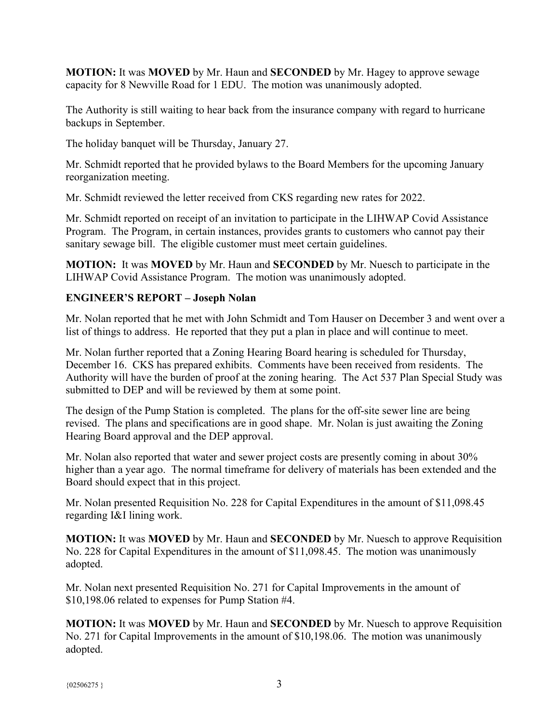**MOTION:** It was **MOVED** by Mr. Haun and **SECONDED** by Mr. Hagey to approve sewage capacity for 8 Newville Road for 1 EDU. The motion was unanimously adopted.

The Authority is still waiting to hear back from the insurance company with regard to hurricane backups in September.

The holiday banquet will be Thursday, January 27.

Mr. Schmidt reported that he provided bylaws to the Board Members for the upcoming January reorganization meeting.

Mr. Schmidt reviewed the letter received from CKS regarding new rates for 2022.

Mr. Schmidt reported on receipt of an invitation to participate in the LIHWAP Covid Assistance Program. The Program, in certain instances, provides grants to customers who cannot pay their sanitary sewage bill. The eligible customer must meet certain guidelines.

**MOTION:** It was **MOVED** by Mr. Haun and **SECONDED** by Mr. Nuesch to participate in the LIHWAP Covid Assistance Program. The motion was unanimously adopted.

### **ENGINEER'S REPORT – Joseph Nolan**

Mr. Nolan reported that he met with John Schmidt and Tom Hauser on December 3 and went over a list of things to address. He reported that they put a plan in place and will continue to meet.

Mr. Nolan further reported that a Zoning Hearing Board hearing is scheduled for Thursday, December 16. CKS has prepared exhibits. Comments have been received from residents. The Authority will have the burden of proof at the zoning hearing. The Act 537 Plan Special Study was submitted to DEP and will be reviewed by them at some point.

The design of the Pump Station is completed. The plans for the off-site sewer line are being revised. The plans and specifications are in good shape. Mr. Nolan is just awaiting the Zoning Hearing Board approval and the DEP approval.

Mr. Nolan also reported that water and sewer project costs are presently coming in about 30% higher than a year ago. The normal timeframe for delivery of materials has been extended and the Board should expect that in this project.

Mr. Nolan presented Requisition No. 228 for Capital Expenditures in the amount of \$11,098.45 regarding I&I lining work.

**MOTION:** It was **MOVED** by Mr. Haun and **SECONDED** by Mr. Nuesch to approve Requisition No. 228 for Capital Expenditures in the amount of \$11,098.45. The motion was unanimously adopted.

Mr. Nolan next presented Requisition No. 271 for Capital Improvements in the amount of \$10,198.06 related to expenses for Pump Station #4.

**MOTION:** It was **MOVED** by Mr. Haun and **SECONDED** by Mr. Nuesch to approve Requisition No. 271 for Capital Improvements in the amount of \$10,198.06. The motion was unanimously adopted.